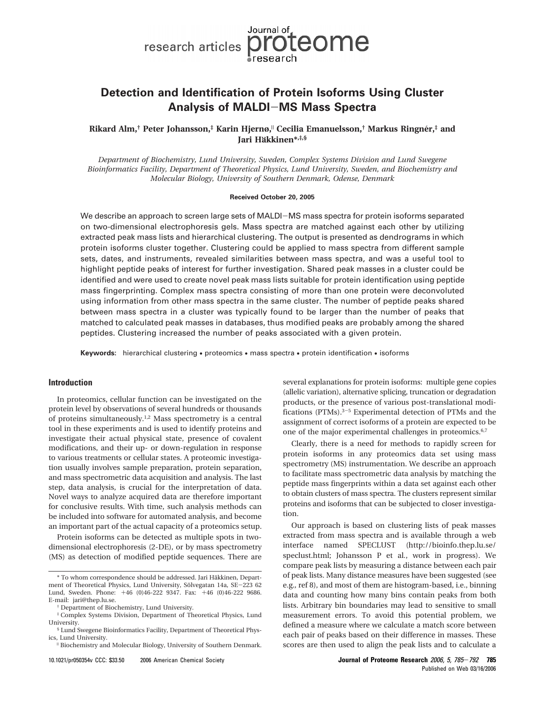# **Detection and Identification of Protein Isoforms Using Cluster Analysis of MALDI**-**MS Mass Spectra**

research articles **proteome** 

## **Rikard Alm,† Peter Johansson,‡ Karin Hjernø,**<sup>|</sup> **Cecilia Emanuelsson,† Markus Ringne**´**r,‡ and Jari Ha**1**kkinen\*,‡,§**

*Department of Biochemistry, Lund University, Sweden, Complex Systems Division and Lund Swegene Bioinformatics Facility, Department of Theoretical Physics, Lund University, Sweden, and Biochemistry and Molecular Biology, University of Southern Denmark, Odense, Denmark*

### **Received October 20, 2005**

We describe an approach to screen large sets of MALDI-MS mass spectra for protein isoforms separated on two-dimensional electrophoresis gels. Mass spectra are matched against each other by utilizing extracted peak mass lists and hierarchical clustering. The output is presented as dendrograms in which protein isoforms cluster together. Clustering could be applied to mass spectra from different sample sets, dates, and instruments, revealed similarities between mass spectra, and was a useful tool to highlight peptide peaks of interest for further investigation. Shared peak masses in a cluster could be identified and were used to create novel peak mass lists suitable for protein identification using peptide mass fingerprinting. Complex mass spectra consisting of more than one protein were deconvoluted using information from other mass spectra in the same cluster. The number of peptide peaks shared between mass spectra in a cluster was typically found to be larger than the number of peaks that matched to calculated peak masses in databases, thus modified peaks are probably among the shared peptides. Clustering increased the number of peaks associated with a given protein.

**Keywords:** hierarchical clustering • proteomics • mass spectra • protein identification • isoforms

## **Introduction**

In proteomics, cellular function can be investigated on the protein level by observations of several hundreds or thousands of proteins simultaneously.1,2 Mass spectrometry is a central tool in these experiments and is used to identify proteins and investigate their actual physical state, presence of covalent modifications, and their up- or down-regulation in response to various treatments or cellular states. A proteomic investigation usually involves sample preparation, protein separation, and mass spectrometric data acquisition and analysis. The last step, data analysis, is crucial for the interpretation of data. Novel ways to analyze acquired data are therefore important for conclusive results. With time, such analysis methods can be included into software for automated analysis, and become an important part of the actual capacity of a proteomics setup.

Protein isoforms can be detected as multiple spots in twodimensional electrophoresis (2-DE), or by mass spectrometry (MS) as detection of modified peptide sequences. There are

several explanations for protein isoforms: multiple gene copies (allelic variation), alternative splicing, truncation or degradation products, or the presence of various post-translational modifications (PTMs).3-<sup>5</sup> Experimental detection of PTMs and the assignment of correct isoforms of a protein are expected to be one of the major experimental challenges in proteomics.6,7

Clearly, there is a need for methods to rapidly screen for protein isoforms in any proteomics data set using mass spectrometry (MS) instrumentation. We describe an approach to facilitate mass spectrometric data analysis by matching the peptide mass fingerprints within a data set against each other to obtain clusters of mass spectra. The clusters represent similar proteins and isoforms that can be subjected to closer investigation.

Our approach is based on clustering lists of peak masses extracted from mass spectra and is available through a web interface named SPECLUST (http://bioinfo.thep.lu.se/ speclust.html; Johansson P et al*.*, work in progress). We compare peak lists by measuring a distance between each pair of peak lists. Many distance measures have been suggested (see e.g.*,* ref 8), and most of them are histogram-based, i.e., binning data and counting how many bins contain peaks from both lists. Arbitrary bin boundaries may lead to sensitive to small measurement errors. To avoid this potential problem, we defined a measure where we calculate a match score between each pair of peaks based on their difference in masses. These scores are then used to align the peak lists and to calculate a

<sup>\*</sup> To whom correspondence should be addressed. Jari Häkkinen, Department of Theoretical Physics, Lund University, Sölvegatan 14a, SE−223 62<br>Lund Sweden, Phone: +46 (0)46-222 9347, Eax: +46 (0)46-222 9686 Lund, Sweden. Phone: +46 (0)46-222 9347. Fax: +46 (0)46-222 9686. E-mail: jari@thep.lu.se.

<sup>†</sup> Department of Biochemistry, Lund University.

<sup>‡</sup> Complex Systems Division, Department of Theoretical Physics, Lund University.

<sup>§</sup> Lund Swegene Bioinformatics Facility, Department of Theoretical Physics, Lund University.

<sup>|</sup> Biochemistry and Molecular Biology, University of Southern Denmark.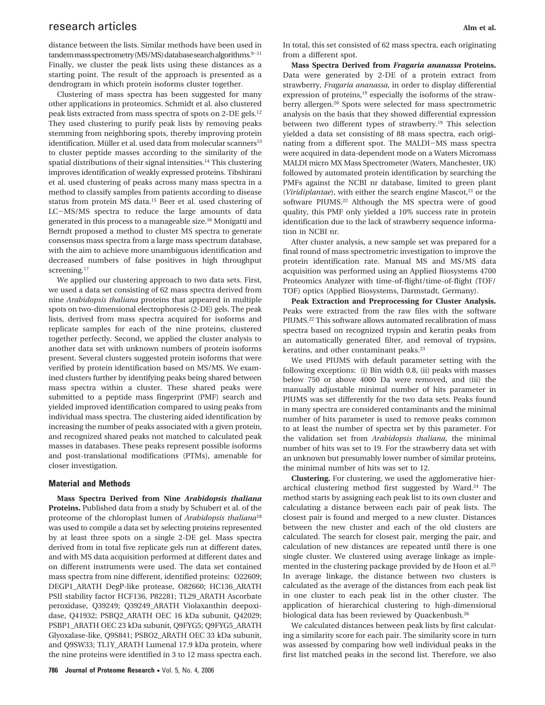# **research articles Alm et al.** Alm et al.

distance between the lists. Similar methods have been used in  $t$ andem mass spectrometry (MS/MS) database search algorithms. $9-11$ Finally, we cluster the peak lists using these distances as a starting point. The result of the approach is presented as a dendrogram in which protein isoforms cluster together.

Clustering of mass spectra has been suggested for many other applications in proteomics. Schmidt et al. also clustered peak lists extracted from mass spectra of spots on 2-DE gels.<sup>12</sup> They used clustering to purify peak lists by removing peaks stemming from neighboring spots, thereby improving protein identification. Müller et al. used data from molecular scanners<sup>13</sup> to cluster peptide masses according to the similarity of the spatial distributions of their signal intensities.<sup>14</sup> This clustering improves identification of weakly expressed proteins. Tibshirani et al. used clustering of peaks across many mass spectra in a method to classify samples from patients according to disease status from protein MS data.15 Beer et al. used clustering of LC-MS/MS spectra to reduce the large amounts of data generated in this process to a manageable size.<sup>16</sup> Monigatti and Berndt proposed a method to cluster MS spectra to generate consensus mass spectra from a large mass spectrum database, with the aim to achieve more unambiguous identification and decreased numbers of false positives in high throughput screening.<sup>17</sup>

We applied our clustering approach to two data sets. First, we used a data set consisting of 62 mass spectra derived from nine *Arabidopsis thaliana* proteins that appeared in multiple spots on two-dimensional electrophoresis (2-DE) gels. The peak lists, derived from mass spectra acquired for isoforms and replicate samples for each of the nine proteins, clustered together perfectly. Second, we applied the cluster analysis to another data set with unknown numbers of protein isoforms present. Several clusters suggested protein isoforms that were verified by protein identification based on MS/MS. We examined clusters further by identifying peaks being shared between mass spectra within a cluster. These shared peaks were submitted to a peptide mass fingerprint (PMF) search and yielded improved identification compared to using peaks from individual mass spectra. The clustering aided identification by increasing the number of peaks associated with a given protein, and recognized shared peaks not matched to calculated peak masses in databases. These peaks represent possible isoforms and post-translational modifications (PTMs), amenable for closer investigation.

## **Material and Methods**

**Mass Spectra Derived from Nine** *Arabidopsis thaliana* **Proteins.** Published data from a study by Schubert et al. of the proteome of the chloroplast lumen of *Arabidopsis thaliana*<sup>18</sup> was used to compile a data set by selecting proteins represented by at least three spots on a single 2-DE gel. Mass spectra derived from in total five replicate gels run at different dates, and with MS data acquisition performed at different dates and on different instruments were used. The data set contained mass spectra from nine different, identified proteins: O22609; DEGP1\_ARATH DegP-like protease, O82660; HC136\_ARATH PSII stability factor HCF136, P82281; TL29\_ARATH Ascorbate peroxidase, Q39249; Q39249\_ARATH Violaxanthin deepoxidase, Q41932; PSBQ2\_ARATH OEC 16 kDa subunit, Q42029; PSBP1\_ARATH OEC 23 kDa subunit, Q9FYG5; Q9FYG5\_ARATH Glyoxalase-like, Q9S841; PSBO2\_ARATH OEC 33 kDa subunit, and Q9SW33; TL1Y\_ARATH Lumenal 17.9 kDa protein, where the nine proteins were identified in 3 to 12 mass spectra each.

In total, this set consisted of 62 mass spectra, each originating from a different spot.

**Mass Spectra Derived from** *Fragaria ananassa* **Proteins.** Data were generated by 2-DE of a protein extract from strawberry, *Fragaria ananassa*, in order to display differential expression of proteins,<sup>19</sup> especially the isoforms of the strawberry allergen.<sup>20</sup> Spots were selected for mass spectrometric analysis on the basis that they showed differential expression between two different types of strawberry.19 This selection yielded a data set consisting of 88 mass spectra, each originating from a different spot. The MALDI-MS mass spectra were acquired in data-dependent mode on a Waters Micromass MALDI micro MX Mass Spectrometer (Waters, Manchester, UK) followed by automated protein identification by searching the PMFs against the NCBI nr database, limited to green plant  $(Viridiplantae)$ , with either the search engine Mascot, $21$  or the software PIUMS.<sup>22</sup> Although the MS spectra were of good quality, this PMF only yielded a 10% success rate in protein identification due to the lack of strawberry sequence information in NCBI nr.

After cluster analysis, a new sample set was prepared for a final round of mass spectrometric investigation to improve the protein identification rate. Manual MS and MS/MS data acquisition was performed using an Applied Biosystems 4700 Proteomics Analyzer with time-of-flight/time-of-flight (TOF/ TOF) optics (Applied Biosystems, Darmstadt, Germany).

**Peak Extraction and Preprocessing for Cluster Analysis.** Peaks were extracted from the raw files with the software PIUMS.<sup>22</sup> This software allows automated recalibration of mass spectra based on recognized trypsin and keratin peaks from an automatically generated filter, and removal of trypsins, keratins, and other contaminant peaks.23

We used PIUMS with default parameter setting with the following exceptions: (i) Bin width 0.8, (ii) peaks with masses below 750 or above 4000 Da were removed, and (iii) the manually adjustable minimal number of hits parameter in PIUMS was set differently for the two data sets. Peaks found in many spectra are considered contaminants and the minimal number of hits parameter is used to remove peaks common to at least the number of spectra set by this parameter. For the validation set from *Arabidopsis thaliana*, the minimal number of hits was set to 19. For the strawberry data set with an unknown but presumably lower number of similar proteins, the minimal number of hits was set to 12.

**Clustering.** For clustering, we used the agglomerative hierarchical clustering method first suggested by Ward.<sup>24</sup> The method starts by assigning each peak list to its own cluster and calculating a distance between each pair of peak lists. The closest pair is found and merged to a new cluster. Distances between the new cluster and each of the old clusters are calculated. The search for closest pair, merging the pair, and calculation of new distances are repeated until there is one single cluster. We clustered using average linkage as implemented in the clustering package provided by de Hoon et al.<sup>25</sup> In average linkage, the distance between two clusters is calculated as the average of the distances from each peak list in one cluster to each peak list in the other cluster. The application of hierarchical clustering to high-dimensional biological data has been reviewed by Quackenbush.26

We calculated distances between peak lists by first calculating a similarity score for each pair. The similarity score in turn was assessed by comparing how well individual peaks in the first list matched peaks in the second list. Therefore, we also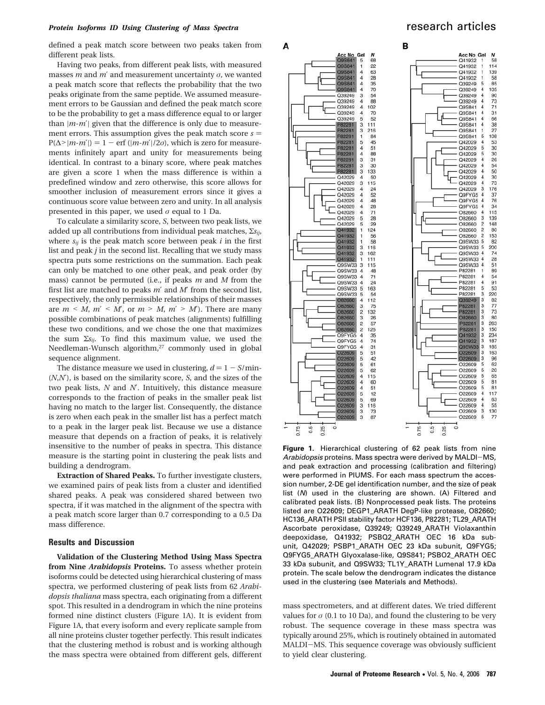## *Protein Isoforms ID Using Clustering of Mass Spectra research articles*

defined a peak match score between two peaks taken from different peak lists.

Having two peaks, from different peak lists, with measured masses  $m$  and  $m'$  and measurement uncertainty  $\sigma$ , we wanted a peak match score that reflects the probability that the two peaks originate from the same peptide. We assumed measurement errors to be Gaussian and defined the peak match score to be the probability to get a mass difference equal to or larger than  $|m-m'|$  given that the difference is only due to measurement errors. This assumption gives the peak match score  $s =$  $P(\Delta > |m-m'|) = 1 - \text{erf } (|m-m'|/2\sigma)$ , which is zero for measurements infinitely apart and unity for measurements being identical. In contrast to a binary score, where peak matches are given a score 1 when the mass difference is within a predefined window and zero otherwise, this score allows for smoother inclusion of measurement errors since it gives a continuous score value between zero and unity. In all analysis presented in this paper, we used *σ* equal to 1 Da.

To calculate a similarity score, *S*, between two peak lists, we added up all contributions from individual peak matches, Σ*sij*, where  $s_{ii}$  is the peak match score between peak  $i$  in the first list and peak *j* in the second list. Recalling that we study mass spectra puts some restrictions on the summation. Each peak can only be matched to one other peak, and peak order (by mass) cannot be permuted (i.e., if peaks *m* and *M* from the first list are matched to peaks *m*′ and *M*′ from the second list, respectively, the only permissible relationships of their masses are  $m \leq M$ ,  $m' \leq M'$ , or  $m \geq M$ ,  $m' \geq M'$ ). There are many possible combinations of peak matches (alignments) fulfilling these two conditions, and we chose the one that maximizes the sum  $\Sigma s_{ii}$ . To find this maximum value, we used the Needleman-Wunsch algorithm,<sup>27</sup> commonly used in global sequence alignment.

The distance measure we used in clustering,  $d = 1 - S$ /min-(*N*,*N*′), is based on the similarity score, *S*, and the sizes of the two peak lists, *N* and *N*′. Intuitively, this distance measure corresponds to the fraction of peaks in the smaller peak list having no match to the larger list. Consequently, the distance is zero when each peak in the smaller list has a perfect match to a peak in the larger peak list. Because we use a distance measure that depends on a fraction of peaks, it is relatively insensitive to the number of peaks in spectra. This distance measure is the starting point in clustering the peak lists and building a dendrogram.

**Extraction of Shared Peaks.** To further investigate clusters, we examined pairs of peak lists from a cluster and identified shared peaks. A peak was considered shared between two spectra, if it was matched in the alignment of the spectra with a peak match score larger than 0.7 corresponding to a 0.5 Da mass difference.

## **Results and Discussion**

**Validation of the Clustering Method Using Mass Spectra from Nine** *Arabidopsis* **Proteins.** To assess whether protein isoforms could be detected using hierarchical clustering of mass spectra, we performed clustering of peak lists from 62 *Arabidopsis thaliana* mass spectra, each originating from a different spot. This resulted in a dendrogram in which the nine proteins formed nine distinct clusters (Figure 1A). It is evident from Figure 1A, that every isoform and every replicate sample from all nine proteins cluster together perfectly. This result indicates that the clustering method is robust and is working although the mass spectra were obtained from different gels, different



**Figure 1.** Hierarchical clustering of 62 peak lists from nine Arabidopsis proteins. Mass spectra were derived by MALDI-MS, and peak extraction and processing (calibration and filtering) were performed in PIUMS. For each mass spectrum the accession number, 2-DE gel identification number, and the size of peak list (N) used in the clustering are shown. (A) Filtered and calibrated peak lists. (B) Nonprocessed peak lists. The proteins listed are O22609; DEGP1\_ARATH DegP-like protease, O82660; HC136\_ARATH PSII stability factor HCF136, P82281; TL29\_ARATH Ascorbate peroxidase, Q39249; Q39249\_ARATH Violaxanthin deepoxidase, Q41932; PSBQ2\_ARATH OEC 16 kDa subunit, Q42029; PSBP1\_ARATH OEC 23 kDa subunit, Q9FYG5; Q9FYG5\_ARATH Glyoxalase-like, Q9S841; PSBO2\_ARATH OEC 33 kDa subunit, and Q9SW33; TL1Y\_ARATH Lumenal 17.9 kDa protein. The scale below the dendrogram indicates the distance used in the clustering (see Materials and Methods).

mass spectrometers, and at different dates. We tried different values for  $\sigma$  (0.1 to 10 Da), and found the clustering to be very robust. The sequence coverage in these mass spectra was typically around 25%, which is routinely obtained in automated MALDI-MS. This sequence coverage was obviously sufficient to yield clear clustering.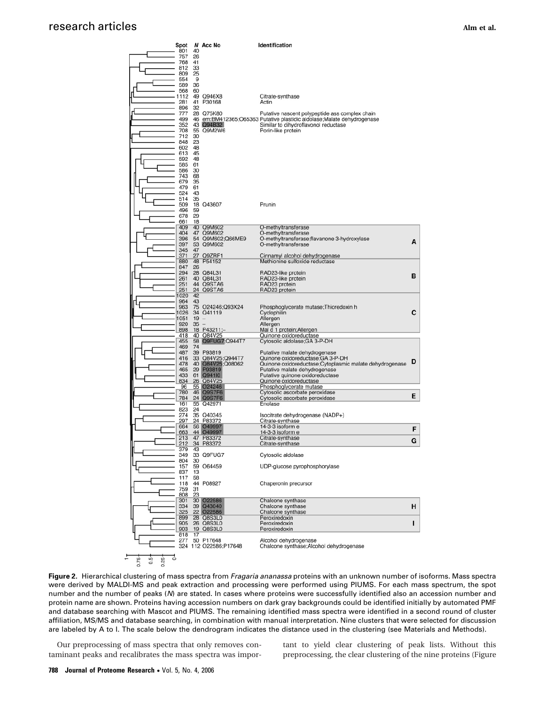|                                        | Spot<br>801 | 40       | N Acc No                          | Identification                                                                                              |   |
|----------------------------------------|-------------|----------|-----------------------------------|-------------------------------------------------------------------------------------------------------------|---|
|                                        | 757<br>768  | 26<br>41 |                                   |                                                                                                             |   |
|                                        | 812         | 33       |                                   |                                                                                                             |   |
|                                        | 809<br>554  | 25<br>9  |                                   |                                                                                                             |   |
|                                        | 589<br>568  | 36<br>60 |                                   |                                                                                                             |   |
|                                        | 1112        | 49       | Q946X8                            | Citrate-synthase                                                                                            |   |
|                                        | 281<br>896  | 41<br>32 | P30168                            | Actin                                                                                                       |   |
|                                        | 777         | 28       | Q75K80                            | Putative nascent polypeptide ass complex chain                                                              |   |
|                                        | 499<br>352  | 46<br>43 | Q94B32                            | em:BM412365;O65363 Putative plastidic aldolase;Malate dehydrogenase<br>Similar to dihydroflavonol reductase |   |
|                                        | 708         |          | 55 Q9M2W6                         | Porin-like protein                                                                                          |   |
|                                        | 712<br>848  | 30<br>23 |                                   |                                                                                                             |   |
|                                        | 602<br>613  | 48<br>45 |                                   |                                                                                                             |   |
|                                        | 592         | 48       |                                   |                                                                                                             |   |
|                                        | 585<br>586  | 61<br>30 |                                   |                                                                                                             |   |
|                                        | 743         | 68       |                                   |                                                                                                             |   |
|                                        | 679<br>479  | 35<br>61 |                                   |                                                                                                             |   |
|                                        | 524<br>514  | 43<br>35 |                                   |                                                                                                             |   |
|                                        | 509         | 18       | Q43607                            | Prunin                                                                                                      |   |
|                                        | 496<br>678  | 59<br>29 |                                   |                                                                                                             |   |
|                                        | 661         | 18       |                                   |                                                                                                             |   |
|                                        | 409<br>404  | 47       | 40 Q9M602<br>Q9M602               | O-methyltransferase<br>O-methyltransferase                                                                  |   |
|                                        | 396         | 54       | Q9M602;Q66ME9                     | O-methyltransferase;flavanone 3-hydroxylase                                                                 | А |
|                                        | 397<br>345  | 53<br>47 | Q9M602                            | O-methyltransferase                                                                                         |   |
|                                        | 371         | 27       | Q9ZRF1                            | Cinnamyl alcohol dehydrogenase                                                                              |   |
|                                        | 880<br>847  | 48<br>26 | P54152                            | Methionine sulfoxide reductase                                                                              |   |
|                                        | 294         |          | 28 Q84L31                         | RAD23-like protein                                                                                          | в |
|                                        | 261<br>251  |          | 40 Q84L31<br>44 Q9STA6            | RAD23-like protein<br>RAD23 protein                                                                         |   |
|                                        | 251<br>1020 | 42       | 24 Q9STA6                         | RAD23 protein                                                                                               |   |
|                                        | 964         | 43       |                                   |                                                                                                             |   |
|                                        | 963<br>1026 |          | 75 O24246;Q93X24<br>34 Q41119     | Phosphoglycerate mutase; Thioredoxin h<br>Cyclophilin                                                       | С |
|                                        | 1051        | 19       |                                   | Allergen                                                                                                    |   |
|                                        | 920<br>898  | 35       | 18 P43211;-                       | Allergen<br>Mal d 1 protein; Allergen                                                                       |   |
|                                        | 418         | 40       | Q84V25                            | Quinone oxidoreductase                                                                                      |   |
|                                        | 455<br>469  | 58<br>74 | Q9FUG7;Q944T7                     | Cytosolic aldolase;GA 3-P-DH                                                                                |   |
|                                        | 487         |          | 39 P93819                         | Putative malate dehydrogenase                                                                               |   |
|                                        | 416<br>478  | 40       | 33 Q84V25;Q944T7<br>Q84V25;Q08062 | Quinone oxidoreductase;GA 3-P-DH<br>Quinone oxidoreductase;Cytoplasmic malate dehydrogenase                 | D |
|                                        | 465         | 29<br>61 | P93819                            | Putative malate dehydrogenase                                                                               |   |
|                                        | 433<br>834  | 26       | Q94110<br>Q84V25                  | Putative quinone oxidoreductase<br>Quinone oxidoreductase                                                   |   |
|                                        | 96<br>780   | 55<br>46 | O <sub>24246</sub><br>Q9S7F6      | Phosphoglycerate mutase<br>Cytosolic ascorbate peroxidase                                                   |   |
|                                        | 784         |          | 24 Q9S7F6                         | Cytosolic ascorbate peroxidase                                                                              | E |
|                                        | 161<br>823  | 24       | 55 Q42971                         | Enolase                                                                                                     |   |
|                                        | 274         |          | 35 Q40345                         | Isocitrate dehydrogenase (NADP+)                                                                            |   |
|                                        | 297<br>664  | 56       | 24 P83372<br>O49997               | Citrate-synthase<br>14-3-3 isoform e                                                                        |   |
|                                        | 663         |          | 44 049997                         | 14-3-3 isoform e                                                                                            | F |
|                                        | 213<br>212  |          | 47 P83372<br>34 P83372            | Citrate-synthase<br>Citrate-synthase                                                                        | G |
|                                        | 379         | 43       | 33 Q9FUG7                         |                                                                                                             |   |
|                                        | 349<br>804  | 30       |                                   | Cytosolic aldolase                                                                                          |   |
|                                        | 157<br>837  | 59<br>13 | O64459                            | UDP-glucose pyrophosphorylase                                                                               |   |
|                                        | 117         | 58       |                                   |                                                                                                             |   |
|                                        | 118<br>759  | 31       | 44 P08927                         | Chaperonin precursor                                                                                        |   |
|                                        | 808         | 23       |                                   |                                                                                                             |   |
|                                        | 301<br>334  | 30<br>39 | O <sub>22586</sub><br>Q43040      | Chalcone synthase<br>Chalcone synthase                                                                      | н |
|                                        | 325         | 22       | O22586                            | Chalcone synthase                                                                                           |   |
|                                        | 899<br>905  |          | 28 Q8S3L0<br>26 Q8S3L0            | Peroxiredoxin<br>Peroxiredoxin                                                                              | ı |
|                                        | 903         |          | 19 Q8S3L0                         | Peroxiredoxin                                                                                               |   |
|                                        | 818<br>277  | 17       | 50 P17648                         | Alcohol dehydrogenase                                                                                       |   |
|                                        |             |          | 324 112 O22586;P17648             | Chalcone synthase; Alcohol dehydrogenase                                                                    |   |
| $0.5^{\circ}$<br>$\circ$<br>55<br>0.75 |             |          |                                   |                                                                                                             |   |

**Figure 2.** Hierarchical clustering of mass spectra from Fragaria ananassa proteins with an unknown number of isoforms. Mass spectra were derived by MALDI-MS and peak extraction and processing were performed using PIUMS. For each mass spectrum, the spot number and the number of peaks (N) are stated. In cases where proteins were successfully identified also an accession number and protein name are shown. Proteins having accession numbers on dark gray backgrounds could be identified initially by automated PMF and database searching with Mascot and PIUMS. The remaining identified mass spectra were identified in a second round of cluster affiliation, MS/MS and database searching, in combination with manual interpretation. Nine clusters that were selected for discussion are labeled by A to I. The scale below the dendrogram indicates the distance used in the clustering (see Materials and Methods).

Our preprocessing of mass spectra that only removes contaminant peaks and recalibrates the mass spectra was important to yield clear clustering of peak lists. Without this preprocessing, the clear clustering of the nine proteins (Figure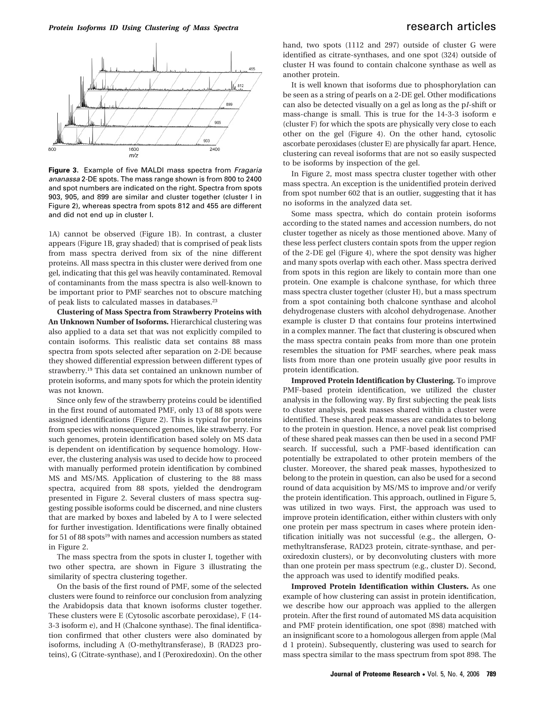



**Figure 3.** Example of five MALDI mass spectra from Fragaria ananassa 2-DE spots. The mass range shown is from 800 to 2400 and spot numbers are indicated on the right. Spectra from spots 903, 905, and 899 are similar and cluster together (cluster I in Figure 2), whereas spectra from spots 812 and 455 are different and did not end up in cluster I.

1A) cannot be observed (Figure 1B). In contrast, a cluster appears (Figure 1B, gray shaded) that is comprised of peak lists from mass spectra derived from six of the nine different proteins. All mass spectra in this cluster were derived from one gel, indicating that this gel was heavily contaminated. Removal of contaminants from the mass spectra is also well-known to be important prior to PMF searches not to obscure matching of peak lists to calculated masses in databases.23

**Clustering of Mass Spectra from Strawberry Proteins with An Unknown Number of Isoforms.** Hierarchical clustering was also applied to a data set that was not explicitly compiled to contain isoforms. This realistic data set contains 88 mass spectra from spots selected after separation on 2-DE because they showed differential expression between different types of strawberry.19 This data set contained an unknown number of protein isoforms, and many spots for which the protein identity was not known.

Since only few of the strawberry proteins could be identified in the first round of automated PMF, only 13 of 88 spots were assigned identifications (Figure 2). This is typical for proteins from species with nonsequenced genomes, like strawberry. For such genomes, protein identification based solely on MS data is dependent on identification by sequence homology. However, the clustering analysis was used to decide how to proceed with manually performed protein identification by combined MS and MS/MS. Application of clustering to the 88 mass spectra, acquired from 88 spots, yielded the dendrogram presented in Figure 2. Several clusters of mass spectra suggesting possible isoforms could be discerned, and nine clusters that are marked by boxes and labeled by A to I were selected for further investigation. Identifications were finally obtained for 51 of 88 spots<sup>19</sup> with names and accession numbers as stated in Figure 2.

The mass spectra from the spots in cluster I, together with two other spectra, are shown in Figure 3 illustrating the similarity of spectra clustering together.

On the basis of the first round of PMF, some of the selected clusters were found to reinforce our conclusion from analyzing the Arabidopsis data that known isoforms cluster together. These clusters were E (Cytosolic ascorbate peroxidase), F (14- 3-3 isoform e), and H (Chalcone synthase). The final identification confirmed that other clusters were also dominated by isoforms, including A (O-methyltransferase), B (RAD23 proteins), G (Citrate-synthase), and I (Peroxiredoxin). On the other

hand, two spots (1112 and 297) outside of cluster G were identified as citrate-synthases, and one spot (324) outside of cluster H was found to contain chalcone synthase as well as another protein.

It is well known that isoforms due to phosphorylation can be seen as a string of pearls on a 2-DE gel. Other modifications can also be detected visually on a gel as long as the p*I*-shift or mass-change is small. This is true for the 14-3-3 isoform e (cluster F) for which the spots are physically very close to each other on the gel (Figure 4). On the other hand, cytosolic ascorbate peroxidases (cluster E) are physically far apart. Hence, clustering can reveal isoforms that are not so easily suspected to be isoforms by inspection of the gel.

In Figure 2, most mass spectra cluster together with other mass spectra. An exception is the unidentified protein derived from spot number 602 that is an outlier, suggesting that it has no isoforms in the analyzed data set.

Some mass spectra, which do contain protein isoforms according to the stated names and accession numbers, do not cluster together as nicely as those mentioned above. Many of these less perfect clusters contain spots from the upper region of the 2-DE gel (Figure 4), where the spot density was higher and many spots overlap with each other. Mass spectra derived from spots in this region are likely to contain more than one protein. One example is chalcone synthase, for which three mass spectra cluster together (cluster H), but a mass spectrum from a spot containing both chalcone synthase and alcohol dehydrogenase clusters with alcohol dehydrogenase. Another example is cluster D that contains four proteins intertwined in a complex manner. The fact that clustering is obscured when the mass spectra contain peaks from more than one protein resembles the situation for PMF searches, where peak mass lists from more than one protein usually give poor results in protein identification.

**Improved Protein Identification by Clustering.** To improve PMF-based protein identification, we utilized the cluster analysis in the following way. By first subjecting the peak lists to cluster analysis, peak masses shared within a cluster were identified. These shared peak masses are candidates to belong to the protein in question. Hence, a novel peak list comprised of these shared peak masses can then be used in a second PMF search. If successful, such a PMF-based identification can potentially be extrapolated to other protein members of the cluster. Moreover, the shared peak masses, hypothesized to belong to the protein in question, can also be used for a second round of data acquisition by MS/MS to improve and/or verify the protein identification. This approach, outlined in Figure 5, was utilized in two ways. First, the approach was used to improve protein identification, either within clusters with only one protein per mass spectrum in cases where protein identification initially was not successful (e.g., the allergen, Omethyltransferase, RAD23 protein, citrate-synthase, and peroxiredoxin clusters), or by deconvoluting clusters with more than one protein per mass spectrum (e.g., cluster D). Second, the approach was used to identify modified peaks.

**Improved Protein Identification within Clusters.** As one example of how clustering can assist in protein identification, we describe how our approach was applied to the allergen protein. After the first round of automated MS data acquisition and PMF protein identification, one spot (898) matched with an insignificant score to a homologous allergen from apple (Mal d 1 protein). Subsequently, clustering was used to search for mass spectra similar to the mass spectrum from spot 898. The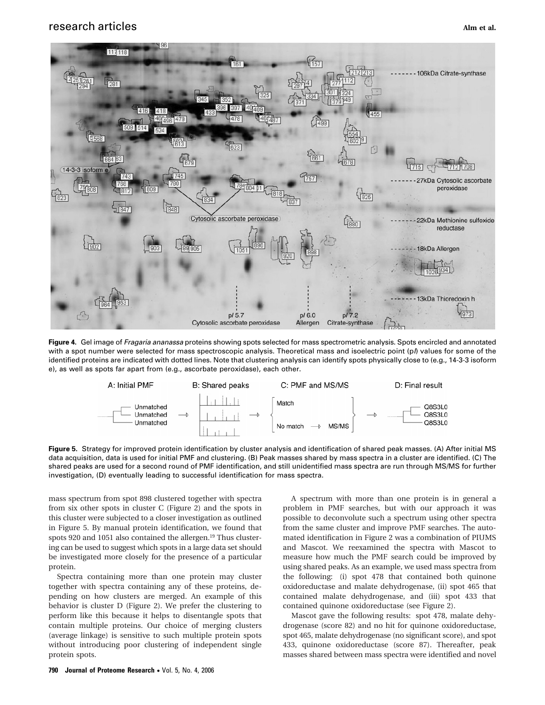

Figure 4. Gel image of Fragaria ananassa proteins showing spots selected for mass spectrometric analysis. Spots encircled and annotated with a spot number were selected for mass spectroscopic analysis. Theoretical mass and isoelectric point (p/) values for some of the identified proteins are indicated with dotted lines. Note that clustering analysis can identify spots physically close to (e.g., 14-3-3 isoform e), as well as spots far apart from (e.g., ascorbate peroxidase), each other.



**Figure 5.** Strategy for improved protein identification by cluster analysis and identification of shared peak masses. (A) After initial MS data acquisition, data is used for initial PMF and clustering. (B) Peak masses shared by mass spectra in a cluster are identified. (C) The shared peaks are used for a second round of PMF identification, and still unidentified mass spectra are run through MS/MS for further investigation, (D) eventually leading to successful identification for mass spectra.

mass spectrum from spot 898 clustered together with spectra from six other spots in cluster C (Figure 2) and the spots in this cluster were subjected to a closer investigation as outlined in Figure 5. By manual protein identification, we found that spots 920 and 1051 also contained the allergen.<sup>19</sup> Thus clustering can be used to suggest which spots in a large data set should be investigated more closely for the presence of a particular protein.

Spectra containing more than one protein may cluster together with spectra containing any of these proteins, depending on how clusters are merged. An example of this behavior is cluster D (Figure 2). We prefer the clustering to perform like this because it helps to disentangle spots that contain multiple proteins. Our choice of merging clusters (average linkage) is sensitive to such multiple protein spots without introducing poor clustering of independent single protein spots.

**790 Journal of Proteome Research** • Vol. 5, No. 4, 2006

A spectrum with more than one protein is in general a problem in PMF searches, but with our approach it was possible to deconvolute such a spectrum using other spectra from the same cluster and improve PMF searches. The automated identification in Figure 2 was a combination of PIUMS and Mascot. We reexamined the spectra with Mascot to measure how much the PMF search could be improved by using shared peaks. As an example, we used mass spectra from the following: (i) spot 478 that contained both quinone oxidoreductase and malate dehydrogenase, (ii) spot 465 that contained malate dehydrogenase, and (iii) spot 433 that contained quinone oxidoreductase (see Figure 2).

Mascot gave the following results: spot 478, malate dehydrogenase (score 82) and no hit for quinone oxidoreductase, spot 465, malate dehydrogenase (no significant score), and spot 433, quinone oxidoreductase (score 87). Thereafter, peak masses shared between mass spectra were identified and novel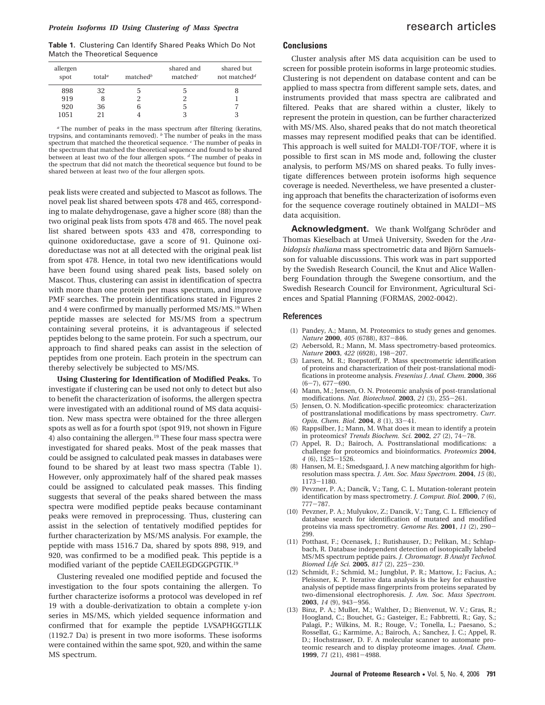**Table 1.** Clustering Can Identify Shared Peaks Which Do Not Match the Theoretical Sequence

| allergen<br>spot | total <sup><math>a</math></sup> | matched <sup>b</sup> | shared and<br>matched <sup><math>c</math></sup> | shared but<br>not matched <sup>d</sup> |
|------------------|---------------------------------|----------------------|-------------------------------------------------|----------------------------------------|
| 898              | 32                              | C.                   | b.                                              |                                        |
| 919              | 8                               |                      |                                                 |                                        |
| 920              | 36                              |                      | 5                                               |                                        |
| 1051             | 21                              |                      | 3                                               | 3                                      |

<sup>*a*</sup> The number of peaks in the mass spectrum after filtering (keratins, trypsins, and contaminants removed). *<sup>b</sup>* The number of peaks in the mass spectrum that matched the theoretical sequence. <sup>c</sup> The number of peaks in the spectrum that matched the theoretical sequence and found to be shared between at least two of the four allergen spots. *<sup>d</sup>* The number of peaks in the spectrum that did not match the theoretical sequence but found to be shared between at least two of the four allergen spots.

peak lists were created and subjected to Mascot as follows. The novel peak list shared between spots 478 and 465, corresponding to malate dehydrogenase, gave a higher score (88) than the two original peak lists from spots 478 and 465. The novel peak list shared between spots 433 and 478, corresponding to quinone oxidoreductase, gave a score of 91. Quinone oxidoreductase was not at all detected with the original peak list from spot 478. Hence, in total two new identifications would have been found using shared peak lists, based solely on Mascot. Thus, clustering can assist in identification of spectra with more than one protein per mass spectrum, and improve PMF searches. The protein identifications stated in Figures 2 and 4 were confirmed by manually performed MS/MS.<sup>19</sup> When peptide masses are selected for MS/MS from a spectrum containing several proteins, it is advantageous if selected peptides belong to the same protein. For such a spectrum, our approach to find shared peaks can assist in the selection of peptides from one protein. Each protein in the spectrum can thereby selectively be subjected to MS/MS.

**Using Clustering for Identification of Modified Peaks.** To investigate if clustering can be used not only to detect but also to benefit the characterization of isoforms, the allergen spectra were investigated with an additional round of MS data acquisition. New mass spectra were obtained for the three allergen spots as well as for a fourth spot (spot 919, not shown in Figure 4) also containing the allergen.<sup>19</sup> These four mass spectra were investigated for shared peaks. Most of the peak masses that could be assigned to calculated peak masses in databases were found to be shared by at least two mass spectra (Table 1). However, only approximately half of the shared peak masses could be assigned to calculated peak masses. This finding suggests that several of the peaks shared between the mass spectra were modified peptide peaks because contaminant peaks were removed in preprocessing. Thus, clustering can assist in the selection of tentatively modified peptides for further characterization by MS/MS analysis. For example, the peptide with mass 1516.7 Da, shared by spots 898, 919, and 920, was confirmed to be a modified peak. This peptide is a modified variant of the peptide CAEILEGDGGPGTIK.19

Clustering revealed one modified peptide and focused the investigation to the four spots containing the allergen. To further characterize isoforms a protocol was developed in ref 19 with a double-derivatization to obtain a complete y-ion series in MS/MS, which yielded sequence information and confirmed that for example the peptide LVSAPHGGTLLK (1192.7 Da) is present in two more isoforms. These isoforms were contained within the same spot, 920, and within the same MS spectrum.

## **Conclusions**

Cluster analysis after MS data acquisition can be used to screen for possible protein isoforms in large proteomic studies. Clustering is not dependent on database content and can be applied to mass spectra from different sample sets, dates, and instruments provided that mass spectra are calibrated and filtered. Peaks that are shared within a cluster, likely to represent the protein in question, can be further characterized with MS/MS. Also, shared peaks that do not match theoretical masses may represent modified peaks that can be identified. This approach is well suited for MALDI-TOF/TOF, where it is possible to first scan in MS mode and, following the cluster analysis, to perform MS/MS on shared peaks. To fully investigate differences between protein isoforms high sequence coverage is needed. Nevertheless, we have presented a clustering approach that benefits the characterization of isoforms even for the sequence coverage routinely obtained in MALDI-MS data acquisition.

**Acknowledgment.** We thank Wolfgang Schröder and Thomas Kieselbach at Umeå University, Sweden for the *Arabidopsis thaliana* mass spectrometric data and Björn Samuelsson for valuable discussions. This work was in part supported by the Swedish Research Council, the Knut and Alice Wallenberg Foundation through the Swegene consortium, and the Swedish Research Council for Environment, Agricultural Sciences and Spatial Planning (FORMAS, 2002-0042).

#### **References**

- (1) Pandey, A.; Mann, M. Proteomics to study genes and genomes. *Nature* **<sup>2000</sup>**, *<sup>405</sup>* (6788), 837-846.
- (2) Aebersold, R.; Mann, M. Mass spectrometry-based proteomics. *Nature* **<sup>2003</sup>**, *<sup>422</sup>* (6928), 198-207.
- (3) Larsen, M. R.; Roepstorff, P. Mass spectrometric identification of proteins and characterization of their post-translational modifications in proteome analysis. *Fresenius J. Anal. Chem.* **2000**, *366*
- (6-7), 677-690. (4) Mann, M.; Jensen, O. N. Proteomic analysis of post-translational modifications. *Nat. Biotechnol.* **<sup>2003</sup>**, *<sup>21</sup>* (3), 255-261.
- (5) Jensen, O. N. Modification-specific proteomics: characterization of posttranslational modifications by mass spectrometry. *Curr. Opin. Chem. Biol.* **<sup>2004</sup>**, *<sup>8</sup>* (1), 33-41.
- (6) Rappsilber, J.; Mann, M. What does it mean to identify a protein in proteomics? *Trends Biochem. Sci.* **<sup>2002</sup>**, *<sup>27</sup>* (2), 74-78.
- (7) Appel, R. D.; Bairoch, A. Posttranslational modifications: a challenge for proteomics and bioinformatics. *Proteomics* **2004**, *<sup>4</sup>* (6), 1525-1526.
- (8) Hansen, M. E.; Smedsgaard, J. A new matching algorithm for highresolution mass spectra. *J. Am. Soc. Mass Spectrom.* **2004**, *15* (8),
- <sup>1173</sup>-1180. (9) Pevzner, P. A.; Dancik, V.; Tang, C. L. Mutation-tolerant protein identification by mass spectrometry. *J. Comput. Biol.* **2000**, *7* (6), <sup>777</sup>-787.
- (10) Pevzner, P. A.; Mulyukov, Z.; Dancik, V.; Tang, C. L. Efficiency of database search for identification of mutated and modified proteins via mass spectrometry. *Genome Res.* **<sup>2001</sup>**, *<sup>11</sup>* (2), 290- 299.
- (11) Potthast, F.; Ocenasek, J.; Rutishauser, D.; Pelikan, M.; Schlapbach, R. Database independent detection of isotopically labeled MS/MS spectrum peptide pairs. *J. Chromatogr. B Analyt Technol. Biomed Life Sci.* **<sup>2005</sup>**, *<sup>817</sup>* (2), 225-230.
- (12) Schmidt, F.; Schmid, M.; Jungblut, P. R.; Mattow, J.; Facius, A.; Pleissner, K. P. Iterative data analysis is the key for exhaustive analysis of peptide mass fingerprints from proteins separated by two-dimensional electrophoresis. *J. Am. Soc. Mass Spectrom.* **<sup>2003</sup>**, *<sup>14</sup>* (9), 943-956.
- (13) Binz, P. A.; Muller, M.; Walther, D.; Bienvenut, W. V.; Gras, R.; Hoogland, C.; Bouchet, G.; Gasteiger, E.; Fabbretti, R.; Gay, S.; Palagi, P.; Wilkins, M. R.; Rouge, V.; Tonella, L.; Paesano, S.; Rossellat, G.; Karmime, A.; Bairoch, A.; Sanchez, J. C.; Appel, R. D.; Hochstrasser, D. F. A molecular scanner to automate proteomic research and to display proteome images. *Anal. Chem.* **<sup>1999</sup>**, *<sup>71</sup>* (21), 4981-4988.